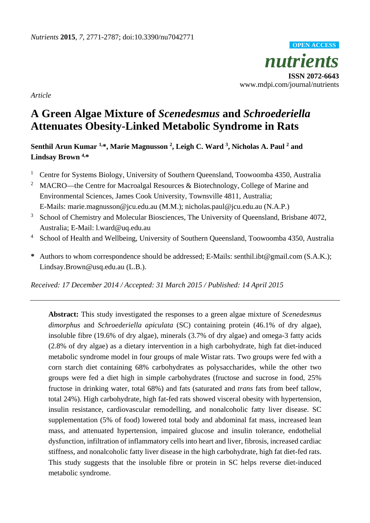*nutrients* **ISSN 2072-6643** www.mdpi.com/journal/nutrients **OPEN ACCESS**

*Article*

# **A Green Algae Mixture of** *Scenedesmus* **and** *Schroederiella* **Attenuates Obesity-Linked Metabolic Syndrome in Rats**

**Senthil Arun Kumar 1,\*, Marie Magnusson 2 , Leigh C. Ward 3 , Nicholas A. Paul <sup>2</sup> and Lindsay Brown 4, \***

- <sup>1</sup> Centre for Systems Biology, University of Southern Queensland, Toowoomba 4350, Australia
- <sup>2</sup> MACRO—the Centre for Macroalgal Resources & Biotechnology, College of Marine and Environmental Sciences, James Cook University, Townsville 4811, Australia; E-Mails: marie.magnusson@jcu.edu.au (M.M.); nicholas.paul@jcu.edu.au (N.A.P.)
- <sup>3</sup> School of Chemistry and Molecular Biosciences, The University of Queensland, Brisbane 4072, Australia; E-Mail: l.ward@uq.edu.au
- <sup>4</sup> School of Health and Wellbeing, University of Southern Queensland, Toowoomba 4350, Australia
- **\*** Authors to whom correspondence should be addressed; E-Mails: senthil.ibt@gmail.com (S.A.K.); Lindsay.Brown@usq.edu.au (L.B.).

*Received: 17 December 2014 / Accepted: 31 March 2015 / Published: 14 April 2015*

**Abstract:** This study investigated the responses to a green algae mixture of *Scenedesmus dimorphus* and *Schroederiella apiculata* (SC) containing protein (46.1% of dry algae), insoluble fibre (19.6% of dry algae), minerals (3.7% of dry algae) and omega-3 fatty acids (2.8% of dry algae) as a dietary intervention in a high carbohydrate, high fat diet-induced metabolic syndrome model in four groups of male Wistar rats. Two groups were fed with a corn starch diet containing 68% carbohydrates as polysaccharides, while the other two groups were fed a diet high in simple carbohydrates (fructose and sucrose in food, 25% fructose in drinking water, total 68%) and fats (saturated and *trans* fats from beef tallow, total 24%). High carbohydrate, high fat-fed rats showed visceral obesity with hypertension, insulin resistance, cardiovascular remodelling, and nonalcoholic fatty liver disease. SC supplementation (5% of food) lowered total body and abdominal fat mass, increased lean mass, and attenuated hypertension, impaired glucose and insulin tolerance, endothelial dysfunction, infiltration of inflammatory cells into heart and liver, fibrosis, increased cardiac stiffness, and nonalcoholic fatty liver disease in the high carbohydrate, high fat diet-fed rats. This study suggests that the insoluble fibre or protein in SC helps reverse diet-induced metabolic syndrome.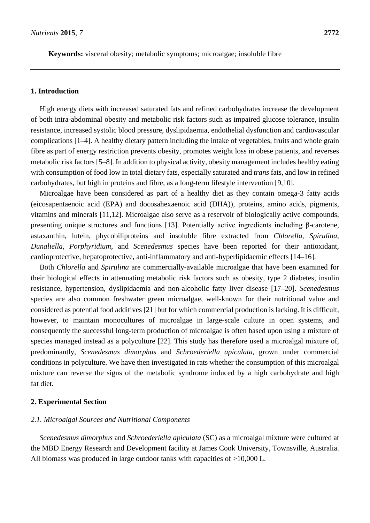**Keywords:** visceral obesity; metabolic symptoms; microalgae; insoluble fibre

### **1. Introduction**

High energy diets with increased saturated fats and refined carbohydrates increase the development of both intra-abdominal obesity and metabolic risk factors such as impaired glucose tolerance, insulin resistance, increased systolic blood pressure, dyslipidaemia, endothelial dysfunction and cardiovascular complications [1–4]. A healthy dietary pattern including the intake of vegetables, fruits and whole grain fibre as part of energy restriction prevents obesity, promotes weight loss in obese patients, and reverses metabolic risk factors [5–8]. In addition to physical activity, obesity management includes healthy eating with consumption of food low in total dietary fats, especially saturated and *trans* fats, and low in refined carbohydrates, but high in proteins and fibre, as a long-term lifestyle intervention [9,10].

Microalgae have been considered as part of a healthy diet as they contain omega-3 fatty acids (eicosapentaenoic acid (EPA) and docosahexaenoic acid (DHA)), proteins, amino acids, pigments, vitamins and minerals [11,12]. Microalgae also serve as a reservoir of biologically active compounds, presenting unique structures and functions [13]. Potentially active ingredients including β-carotene, astaxanthin, lutein, phycobiliproteins and insoluble fibre extracted from *Chlorella*, *Spirulina*, *Dunaliella*, *Porphyridium*, and *Scenedesmus* species have been reported for their antioxidant, cardioprotective, hepatoprotective, anti-inflammatory and anti-hyperlipidaemic effects [14–16].

Both *Chlorella* and *Spirulina* are commercially-available microalgae that have been examined for their biological effects in attenuating metabolic risk factors such as obesity, type 2 diabetes, insulin resistance, hypertension, dyslipidaemia and non-alcoholic fatty liver disease [17–20]. *Scenedesmus* species are also common freshwater green microalgae, well-known for their nutritional value and considered as potential food additives [21] but for which commercial production is lacking. It is difficult, however, to maintain monocultures of microalgae in large-scale culture in open systems, and consequently the successful long-term production of microalgae is often based upon using a mixture of species managed instead as a polyculture [22]. This study has therefore used a microalgal mixture of, predominantly, *Scenedesmus dimorphus* and *Schroederiella apiculata,* grown under commercial conditions in polyculture. We have then investigated in rats whether the consumption of this microalgal mixture can reverse the signs of the metabolic syndrome induced by a high carbohydrate and high fat diet.

### **2. Experimental Section**

### *2.1. Microalgal Sources and Nutritional Components*

*Scenedesmus dimorphus* and *Schroederiella apiculata* (SC) as a microalgal mixture were cultured at the MBD Energy Research and Development facility at James Cook University, Townsville, Australia. All biomass was produced in large outdoor tanks with capacities of >10,000 L.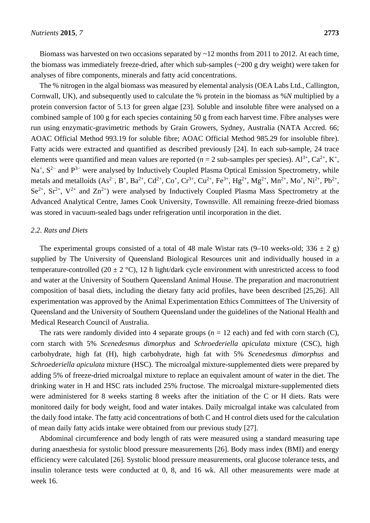Biomass was harvested on two occasions separated by  $\sim$ 12 months from 2011 to 2012. At each time, the biomass was immediately freeze-dried, after which sub-samples (~200 g dry weight) were taken for analyses of fibre components, minerals and fatty acid concentrations.

The % nitrogen in the algal biomass was measured by elemental analysis (OEA Labs Ltd., Callington, Cornwall, UK), and subsequently used to calculate the % protein in the biomass as %*N* multiplied by a protein conversion factor of 5.13 for green algae [23]. Soluble and insoluble fibre were analysed on a combined sample of 100 g for each species containing 50 g from each harvest time. Fibre analyses were run using enzymatic-gravimetric methods by Grain Growers, Sydney, Australia (NATA Accred. 66; AOAC Official Method 993.19 for soluble fibre; AOAC Official Method 985.29 for insoluble fibre). Fatty acids were extracted and quantified as described previously [24]. In each sub-sample, 24 trace elements were quantified and mean values are reported ( $n = 2$  sub-samples per species).  $Al^{3+}$ ,  $Ca^{2+}$ ,  $K^+$ , Na<sup>+</sup>, S<sup>2−</sup> and P<sup>3−</sup> were analysed by Inductively Coupled Plasma Optical Emission Spectrometry, while metals and metalloids  $(As^{2-}, B^+, Ba^{2+}, Cd^{2+}, Co^+, Cr^{3+}, Cu^{2+}, Fe^{3+}, Hg^{2+}, Mg^{2+}, Mn^{2+}, Mo^+, Ni^{2+}, Pb^{2+},$  $Se^{2+}$ ,  $Sr^{2+}$ ,  $V^{2+}$  and  $Zn^{2+}$ ) were analysed by Inductively Coupled Plasma Mass Spectrometry at the Advanced Analytical Centre, James Cook University, Townsville. All remaining freeze-dried biomass was stored in vacuum-sealed bags under refrigeration until incorporation in the diet.

### *2.2. Rats and Diets*

The experimental groups consisted of a total of 48 male Wistar rats  $(9-10$  weeks-old;  $336 \pm 2$  g) supplied by The University of Queensland Biological Resources unit and individually housed in a temperature-controlled (20  $\pm$  2 °C), 12 h light/dark cycle environment with unrestricted access to food and water at the University of Southern Queensland Animal House. The preparation and macronutrient composition of basal diets, including the dietary fatty acid profiles, have been described [25,26]. All experimentation was approved by the Animal Experimentation Ethics Committees of The University of Queensland and the University of Southern Queensland under the guidelines of the National Health and Medical Research Council of Australia.

The rats were randomly divided into 4 separate groups  $(n = 12 \text{ each})$  and fed with corn starch  $(C)$ , corn starch with 5% *Scenedesmus dimorphus* and *Schroederiella apiculata* mixture (CSC), high carbohydrate, high fat (H), high carbohydrate, high fat with 5% *Scenedesmus dimorphus* and *Schroederiella apiculata* mixture (HSC). The microalgal mixture-supplemented diets were prepared by adding 5% of freeze-dried microalgal mixture to replace an equivalent amount of water in the diet. The drinking water in H and HSC rats included 25% fructose. The microalgal mixture-supplemented diets were administered for 8 weeks starting 8 weeks after the initiation of the C or H diets. Rats were monitored daily for body weight, food and water intakes. Daily microalgal intake was calculated from the daily food intake. The fatty acid concentrations of both C and H control diets used for the calculation of mean daily fatty acids intake were obtained from our previous study [27].

Abdominal circumference and body length of rats were measured using a standard measuring tape during anaesthesia for systolic blood pressure measurements [26]. Body mass index (BMI) and energy efficiency were calculated [26]. Systolic blood pressure measurements, oral glucose tolerance tests, and insulin tolerance tests were conducted at 0, 8, and 16 wk. All other measurements were made at week 16.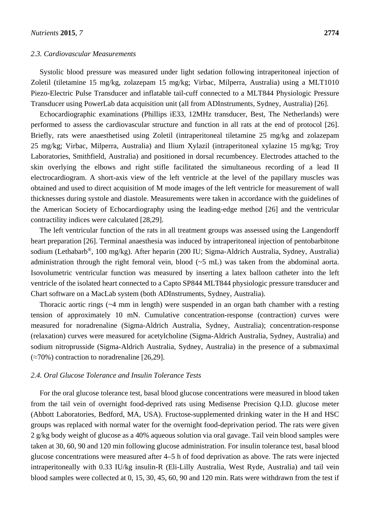### *2.3. Cardiovascular Measurements*

Systolic blood pressure was measured under light sedation following intraperitoneal injection of Zoletil (tiletamine 15 mg/kg, zolazepam 15 mg/kg; Virbac, Milperra, Australia) using a MLT1010 Piezo-Electric Pulse Transducer and inflatable tail-cuff connected to a MLT844 Physiologic Pressure Transducer using PowerLab data acquisition unit (all from ADInstruments, Sydney, Australia) [26].

Echocardiographic examinations (Phillips iE33, 12MHz transducer, Best, The Netherlands) were performed to assess the cardiovascular structure and function in all rats at the end of protocol [26]. Briefly, rats were anaesthetised using Zoletil (intraperitoneal tiletamine 25 mg/kg and zolazepam 25 mg/kg; Virbac, Milperra, Australia) and Ilium Xylazil (intraperitoneal xylazine 15 mg/kg; Troy Laboratories, Smithfield, Australia) and positioned in dorsal recumbencey. Electrodes attached to the skin overlying the elbows and right stifle facilitated the simultaneous recording of a lead II electrocardiogram. A short-axis view of the left ventricle at the level of the papillary muscles was obtained and used to direct acquisition of M mode images of the left ventricle for measurement of wall thicknesses during systole and diastole. Measurements were taken in accordance with the guidelines of the American Society of Echocardiography using the leading-edge method [26] and the ventricular contractility indices were calculated [28,29].

The left ventricular function of the rats in all treatment groups was assessed using the Langendorff heart preparation [26]. Terminal anaesthesia was induced by intraperitoneal injection of pentobarbitone sodium (Lethabarb®, 100 mg/kg). After heparin (200 IU; Sigma-Aldrich Australia, Sydney, Australia) administration through the right femoral vein, blood (~5 mL) was taken from the abdominal aorta. Isovolumetric ventricular function was measured by inserting a latex balloon catheter into the left ventricle of the isolated heart connected to a Capto SP844 MLT844 physiologic pressure transducer and Chart software on a MacLab system (both ADInstruments, Sydney, Australia).

Thoracic aortic rings (~4 mm in length) were suspended in an organ bath chamber with a resting tension of approximately 10 mN. Cumulative concentration-response (contraction) curves were measured for noradrenaline (Sigma-Aldrich Australia, Sydney, Australia); concentration-response (relaxation) curves were measured for acetylcholine (Sigma-Aldrich Australia, Sydney, Australia) and sodium nitroprusside (Sigma-Aldrich Australia, Sydney, Australia) in the presence of a submaximal  $(\approx 70\%)$  contraction to noradrenaline [26,29].

### *2.4. Oral Glucose Tolerance and Insulin Tolerance Tests*

For the oral glucose tolerance test, basal blood glucose concentrations were measured in blood taken from the tail vein of overnight food-deprived rats using Medisense Precision Q.I.D. glucose meter (Abbott Laboratories, Bedford, MA, USA). Fructose-supplemented drinking water in the H and HSC groups was replaced with normal water for the overnight food-deprivation period. The rats were given 2 g/kg body weight of glucose as a 40% aqueous solution via oral gavage. Tail vein blood samples were taken at 30, 60, 90 and 120 min following glucose administration. For insulin tolerance test, basal blood glucose concentrations were measured after 4–5 h of food deprivation as above. The rats were injected intraperitoneally with 0.33 IU/kg insulin-R (Eli-Lilly Australia, West Ryde, Australia) and tail vein blood samples were collected at 0, 15, 30, 45, 60, 90 and 120 min. Rats were withdrawn from the test if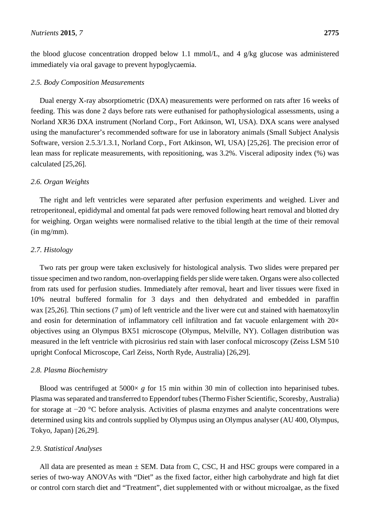the blood glucose concentration dropped below 1.1 mmol/L, and 4 g/kg glucose was administered immediately via oral gavage to prevent hypoglycaemia.

### *2.5. Body Composition Measurements*

Dual energy X-ray absorptiometric (DXA) measurements were performed on rats after 16 weeks of feeding. This was done 2 days before rats were euthanised for pathophysiological assessments, using a Norland XR36 DXA instrument (Norland Corp., Fort Atkinson, WI, USA). DXA scans were analysed using the manufacturer's recommended software for use in laboratory animals (Small Subject Analysis Software, version 2.5.3/1.3.1, Norland Corp., Fort Atkinson, WI, USA) [25,26]. The precision error of lean mass for replicate measurements, with repositioning, was 3.2%. Visceral adiposity index (%) was calculated [25,26].

### *2.6. Organ Weights*

The right and left ventricles were separated after perfusion experiments and weighed. Liver and retroperitoneal, epididymal and omental fat pads were removed following heart removal and blotted dry for weighing. Organ weights were normalised relative to the tibial length at the time of their removal (in mg/mm).

### *2.7. Histology*

Two rats per group were taken exclusively for histological analysis*.* Two slides were prepared per tissue specimen and two random, non-overlapping fields per slide were taken. Organs were also collected from rats used for perfusion studies. Immediately after removal, heart and liver tissues were fixed in 10% neutral buffered formalin for 3 days and then dehydrated and embedded in paraffin wax [25,26]. Thin sections (7 μm) of left ventricle and the liver were cut and stained with haematoxylin and eosin for determination of inflammatory cell infiltration and fat vacuole enlargement with  $20\times$ objectives using an Olympus BX51 microscope (Olympus, Melville, NY). Collagen distribution was measured in the left ventricle with picrosirius red stain with laser confocal microscopy (Zeiss LSM 510 upright Confocal Microscope, Carl Zeiss, North Ryde, Australia) [26,29].

### *2.8. Plasma Biochemistry*

Blood was centrifuged at  $5000 \times g$  for 15 min within 30 min of collection into heparinised tubes. Plasma was separated and transferred to Eppendorf tubes (Thermo Fisher Scientific, Scoresby, Australia) for storage at −20 °C before analysis. Activities of plasma enzymes and analyte concentrations were determined using kits and controls supplied by Olympus using an Olympus analyser (AU 400, Olympus, Tokyo, Japan) [26,29].

### *2.9. Statistical Analyses*

All data are presented as mean  $\pm$  SEM. Data from C, CSC, H and HSC groups were compared in a series of two-way ANOVAs with "Diet" as the fixed factor, either high carbohydrate and high fat diet or control corn starch diet and "Treatment", diet supplemented with or without microalgae, as the fixed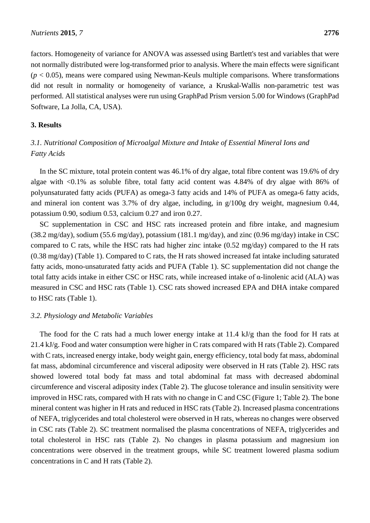factors. Homogeneity of variance for ANOVA was assessed using Bartlett's test and variables that were not normally distributed were log-transformed prior to analysis. Where the main effects were significant  $(p < 0.05)$ , means were compared using Newman-Keuls multiple comparisons. Where transformations did not result in normality or homogeneity of variance, a Kruskal-Wallis non-parametric test was performed. All statistical analyses were run using GraphPad Prism version 5.00 for Windows (GraphPad Software, La Jolla, CA, USA).

### **3. Results**

# *3.1. Nutritional Composition of Microalgal Mixture and Intake of Essential Mineral Ions and Fatty Acids*

In the SC mixture, total protein content was 46.1% of dry algae, total fibre content was 19.6% of dry algae with <0.1% as soluble fibre, total fatty acid content was 4.84% of dry algae with 86% of polyunsaturated fatty acids (PUFA) as omega-3 fatty acids and 14% of PUFA as omega-6 fatty acids, and mineral ion content was 3.7% of dry algae, including, in g/100g dry weight, magnesium 0.44, potassium 0.90, sodium 0.53, calcium 0.27 and iron 0.27.

SC supplementation in CSC and HSC rats increased protein and fibre intake, and magnesium  $(38.2 \text{ mg/day})$ , sodium  $(55.6 \text{ mg/day})$ , potassium  $(181.1 \text{ mg/day})$ , and zinc  $(0.96 \text{ mg/day})$  intake in CSC compared to C rats, while the HSC rats had higher zinc intake  $(0.52 \text{ mg/day})$  compared to the H rats (0.38 mg/day) (Table 1). Compared to C rats, the H rats showed increased fat intake including saturated fatty acids, mono-unsaturated fatty acids and PUFA (Table 1). SC supplementation did not change the total fatty acids intake in either CSC or HSC rats, while increased intake of α-linolenic acid (ALA) was measured in CSC and HSC rats (Table 1). CSC rats showed increased EPA and DHA intake compared to HSC rats (Table 1).

### *3.2. Physiology and Metabolic Variables*

The food for the C rats had a much lower energy intake at 11.4 kJ/g than the food for H rats at 21.4 kJ/g. Food and water consumption were higher in C rats compared with H rats (Table 2). Compared with C rats, increased energy intake, body weight gain, energy efficiency, total body fat mass, abdominal fat mass, abdominal circumference and visceral adiposity were observed in H rats (Table 2). HSC rats showed lowered total body fat mass and total abdominal fat mass with decreased abdominal circumference and visceral adiposity index (Table 2). The glucose tolerance and insulin sensitivity were improved in HSC rats, compared with H rats with no change in C and CSC (Figure 1; Table 2). The bone mineral content was higher in H rats and reduced in HSC rats (Table 2). Increased plasma concentrations of NEFA, triglycerides and total cholesterol were observed in H rats, whereas no changes were observed in CSC rats (Table 2). SC treatment normalised the plasma concentrations of NEFA, triglycerides and total cholesterol in HSC rats (Table 2). No changes in plasma potassium and magnesium ion concentrations were observed in the treatment groups, while SC treatment lowered plasma sodium concentrations in C and H rats (Table 2).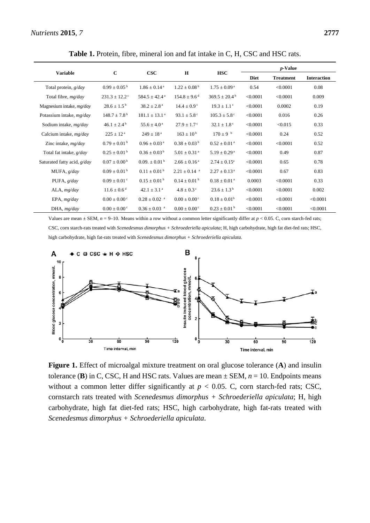|                               | $\mathbf C$                   | $\csc$                        | $\mathbf H$                  |                               | $p$ -Value  |                  |                    |  |
|-------------------------------|-------------------------------|-------------------------------|------------------------------|-------------------------------|-------------|------------------|--------------------|--|
| <b>Variable</b>               |                               |                               |                              | <b>HSC</b>                    | <b>Diet</b> | <b>Treatment</b> | <b>Interaction</b> |  |
| Total protein, g/day          | $0.99 \pm 0.05^{\mathrm{b}}$  | $1.86 \pm 0.14^{\text{ a}}$   | $1.22 \pm 0.08^{\mathrm{b}}$ | $1.75 \pm 0.09^{\text{ a}}$   | 0.54        | < 0.0001         | 0.08               |  |
| Total fibre, mg/day           | $231.3 \pm 12.2$ <sup>c</sup> | $584.5 \pm 42.4^{\text{ a}}$  | $154.8 \pm 9.6$ <sup>d</sup> | $369.5 \pm 20.4^{\mathrm{b}}$ | < 0.0001    | < 0.0001         | 0.009              |  |
| Magnesium intake, $mg/day$    | $28.6 \pm 1.5^{\mathrm{b}}$   | $38.2 \pm 2.8^{\text{a}}$     | $14.4 \pm 0.9$ <sup>c</sup>  | $19.3 \pm 1.1$ <sup>c</sup>   | < 0.0001    | 0.0002           | 0.19               |  |
| Potassium intake, mg/day      | $148.7 \pm 7.8^{\mathrm{b}}$  | $181.1 \pm 13.1^{\text{a}}$   | 93.1 $\pm$ 5.8 °             | $105.3 \pm 5.8$ °             | < 0.0001    | 0.016            | 0.26               |  |
| Sodium intake, $mg/day$       | $46.1 \pm 2.4^{\mathrm{b}}$   | $55.6 \pm 4.0^{\text{a}}$     | $27.9 \pm 1.7$ °             | $32.1 \pm 1.8$ °              | < 0.0001    | < 0.015          | 0.33               |  |
| Calcium intake, <i>mg/day</i> | $225 \pm 12^{\text{ a}}$      | $249 \pm 18^{\text{ a}}$      | $163 \pm 10^{b}$             | $170 \pm 9$ b                 | < 0.0001    | 0.24             | 0.52               |  |
| Zinc intake, $mg/day$         | $0.79 \pm 0.01^{\mathrm{b}}$  | $0.96 \pm 0.03^{\text{ a}}$   | $0.38 \pm 0.03^{\mathrm{b}}$ | $0.52 \pm 0.01$ <sup>a</sup>  | < 0.0001    | < 0.0001         | 0.52               |  |
| Total fat intake, g/day       | $0.25 \pm 0.01^{\text{ b}}$   | $0.36 \pm 0.03^{\mathrm{b}}$  | $5.01 \pm 0.31$ <sup>a</sup> | $5.19 \pm 0.29$ <sup>a</sup>  | < 0.0001    | 0.49             | 0.87               |  |
| Saturated fatty acid, $g/day$ | $0.07 \pm 0.00^{\mathrm{b}}$  | $0.09. \pm 0.01^{\text{ b}}$  | $2.66 \pm 0.16^{\text{ a}}$  | $2.74 \pm 0.15^a$             | < 0.0001    | 0.65             | 0.78               |  |
| MUFA, g/day                   | $0.09 \pm 0.01^{\text{ b}}$   | $0.11 \pm 0.01^{\text{ b}}$   | $2.21 \pm 0.14$ <sup>a</sup> | $2.27 \pm 0.13$ <sup>a</sup>  | < 0.0001    | 0.67             | 0.83               |  |
| PUFA, $g/day$                 | $0.09 \pm 0.01$ <sup>c</sup>  | $0.15 \pm 0.01^{\text{ b}}$   | $0.14 \pm 0.01^{\text{ b}}$  | $0.18 \pm 0.01$ <sup>a</sup>  | 0.0003      | < 0.0001         | 0.33               |  |
| $ALA$ , $mg/day$              | $11.6 \pm 0.6$ <sup>d</sup>   | $42.1 \pm 3.1$ <sup>a</sup>   | $4.8 \pm 0.3$ <sup>c</sup>   | $23.6 \pm 1.3^{\mathrm{b}}$   | < 0.0001    | < 0.0001         | 0.002              |  |
| EPA, $mg/day$                 | $0.00 \pm 0.00$ <sup>c</sup>  | $0.28 \pm 0.02$ <sup>a</sup>  | $0.00 \pm 0.00$ <sup>c</sup> | $0.18 \pm 0.01^b$             | < 0.0001    | < 0.0001         | < 0.0001           |  |
| DHA, mg/day                   | $0.00 \pm 0.00$ <sup>c</sup>  | $0.36\pm0.03$ $^{\mathrm{a}}$ | $0.00 \pm 0.00$ <sup>c</sup> | $0.23 \pm 0.01^{\text{ b}}$   | < 0.0001    | < 0.0001         | < 0.0001           |  |

Table 1. Protein, fibre, mineral ion and fat intake in C, H, CSC and HSC rats.

Values are mean  $\pm$  SEM,  $n = 9-10$ . Means within a row without a common letter significantly differ at  $p < 0.05$ . C, corn starch-fed rats; CSC, corn starch-rats treated with *Scenedesmus dimorphus + Schroederiella apiculata*; H, high carbohydrate, high fat diet-fed rats; HSC, high carbohydrate, high fat-rats treated with *Scenedesmus dimorphus + Schroederiella apiculata.*



**Figure 1.** Effect of microalgal mixture treatment on oral glucose tolerance (**A**) and insulin tolerance (**B**) in C, CSC, H and HSC rats. Values are mean  $\pm$  SEM,  $n = 10$ . Endpoints means without a common letter differ significantly at  $p < 0.05$ . C, corn starch-fed rats; CSC, cornstarch rats treated with *Scenedesmus dimorphus + Schroederiella apiculata*; H, high carbohydrate, high fat diet-fed rats; HSC, high carbohydrate, high fat-rats treated with *Scenedesmus dimorphus + Schroederiella apiculata*.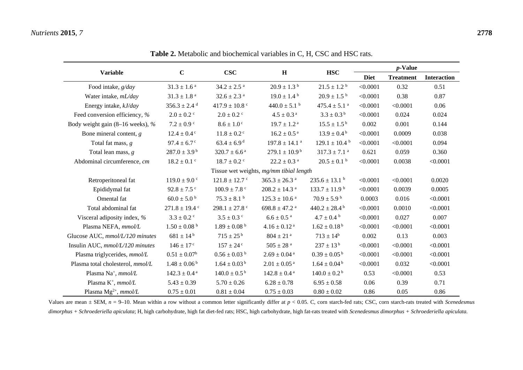|                                         |                              |                               |                               |                               | <i>p</i> -Value |                  |                    |  |  |
|-----------------------------------------|------------------------------|-------------------------------|-------------------------------|-------------------------------|-----------------|------------------|--------------------|--|--|
| <b>Variable</b>                         | $\mathbf C$                  | <b>CSC</b>                    | H                             | <b>HSC</b>                    | <b>Diet</b>     | <b>Treatment</b> | <b>Interaction</b> |  |  |
| Food intake, g/day                      | $31.3\pm1.6$ $^{\rm a}$      | $34.2 \pm 2.5$ <sup>a</sup>   | $20.9 \pm 1.3^{\text{ b}}$    | $21.5 \pm 1.2^{\text{ b}}$    | < 0.0001        | 0.32             | 0.51               |  |  |
| Water intake, mL/day                    | $31.3\pm1.8$ $^{\rm a}$      | $32.6 \pm 2.3$ <sup>a</sup>   | $19.0 \pm 1.4^{\text{ b}}$    | $20.9 \pm 1.5^{\text{ b}}$    | < 0.0001        | 0.38             | 0.87               |  |  |
| Energy intake, kJ/day                   | $356.3 \pm 2.4$ <sup>d</sup> | 417.9 $\pm$ 10.8 °            | $440.0 \pm 5.1$ b             | $475.4 \pm 5.1$ <sup>a</sup>  | < 0.0001        | < 0.0001         | 0.06               |  |  |
| Feed conversion efficiency, %           | $2.0 \pm 0.2$ c              | $2.0 \pm 0.2$ <sup>c</sup>    | $4.5 \pm 0.3$ <sup>a</sup>    | $3.3 \pm 0.3^{\mathrm{b}}$    | < 0.0001        | 0.024            | 0.024              |  |  |
| Body weight gain (8–16 weeks), %        | $7.2 \pm 0.9$ c              | $8.6 \pm 1.0$ <sup>c</sup>    | $19.7 \pm 1.2$ <sup>a</sup>   | $15.5 \pm 1.5^{\mathrm{b}}$   | 0.002           | 0.001            | 0.144              |  |  |
| Bone mineral content, $g$               | $12.4 \pm 0.4$ <sup>c</sup>  | $11.8 \pm 0.2$ <sup>c</sup>   | $16.2 \pm 0.5$ <sup>a</sup>   | $13.9 \pm 0.4^{\mathrm{b}}$   | < 0.0001        | 0.0009           | 0.038              |  |  |
| Total fat mass, $g$                     | $97.4 \pm 6.7$ <sup>c</sup>  | $63.4 \pm 6.9$ <sup>d</sup>   | $197.8 \pm 14.1$ <sup>a</sup> | $129.1 \pm 10.4$ <sup>b</sup> | < 0.0001        | < 0.0001         | 0.094              |  |  |
| Total lean mass, $g$                    | $287.0 \pm 3.9^{\mathrm{b}}$ | $320.7 \pm 6.6^{\text{ a}}$   | $279.1 \pm 10.9^{\mathrm{b}}$ | $317.3 \pm 7.1$ <sup>a</sup>  | 0.621           | 0.059            | 0.360              |  |  |
| Abdominal circumference, cm             | $18.2 \pm 0.1$ <sup>c</sup>  | $18.7 \pm 0.2$ c              | $22.2\pm0.3$ a                | $20.5 \pm 0.1$ b              | < 0.0001        | 0.0038           | < 0.0001           |  |  |
| Tissue wet weights, mg/mm tibial length |                              |                               |                               |                               |                 |                  |                    |  |  |
| Retroperitoneal fat                     | $119.0 \pm 9.0$ c            | $121.8 \pm 12.7$ <sup>c</sup> | $365.3 \pm 26.3$ <sup>a</sup> | $235.6 \pm 13.1$ <sup>b</sup> | < 0.0001        | < 0.0001         | 0.0020             |  |  |
| Epididymal fat                          | $92.8 \pm 7.5$ c             | $100.9 \pm 7.8$ c             | $208.2\pm14.3$ $^{\rm a}$     | $133.7 \pm 11.9^{\text{ b}}$  | < 0.0001        | 0.0039           | 0.0005             |  |  |
| Omental fat                             | $60.0 \pm 5.0^{\mathrm{b}}$  | $75.3 \pm 8.1$ b              | $125.3 \pm 10.6$ <sup>a</sup> | $70.9 \pm 5.9^{\mathrm{b}}$   | 0.0003          | 0.016            | < 0.0001           |  |  |
| Total abdominal fat                     | $271.8 \pm 19.4$ c           | 298.1 $\pm$ 27.8 $\degree$    | $698.8 \pm 47.2$ <sup>a</sup> | $440.2 \pm 28.4^{\mathrm{b}}$ | < 0.0001        | 0.0010           | < 0.0001           |  |  |
| Visceral adiposity index, %             | $3.3 \pm 0.2$ c              | $3.5 \pm 0.3$ c               | $6.6 \pm 0.5$ <sup>a</sup>    | $4.7\pm0.4$ $^{\rm b}$        | < 0.0001        | 0.027            | 0.007              |  |  |
| Plasma NEFA, mmol/L                     | $1.50 \pm 0.08$ b            | $1.89 \pm 0.08$ b             | $4.16\pm0.12$ a               | $1.62 \pm 0.18^{\text{ b}}$   | < 0.0001        | < 0.0001         | < 0.0001           |  |  |
| Glucose AUC, mmol/L/120 minutes         | $681 \pm 14^{b}$             | $715 \pm 25^{\,\rm b}$        | $804 \pm 21$ <sup>a</sup>     | $713 \pm 14^b$                | 0.002           | 0.13             | 0.003              |  |  |
| Insulin AUC, mmol/L/120 minutes         | $146 \pm 17$ c               | $157 \pm 24$ c                | $505\pm28$ $^{\rm a}$         | $237 \pm 13^{b}$              | < 0.0001        | < 0.0001         | < 0.0001           |  |  |
| Plasma triglycerides, mmol/L            | $0.51\pm0.07^{\rm b}$        | $0.56 \pm 0.03$ b             | $2.69\pm0.04$ a               | $0.39 \pm 0.05^{\mathrm{b}}$  | < 0.0001        | < 0.0001         | < 0.0001           |  |  |
| Plasma total cholesterol, mmol/L        | $1.48 \pm 0.06^{\mathrm{b}}$ | $1.64 \pm 0.03^{\mathrm{b}}$  | $2.01\pm0.05$ a               | $1.64 \pm 0.04^{\mathrm{b}}$  | < 0.0001        | 0.032            | < 0.0001           |  |  |
| Plasma Na <sup>+</sup> , mmol/L         | $142.3 \pm 0.4$ <sup>a</sup> | $140.0 \pm 0.5^{\mathrm{b}}$  | $142.8 \pm 0.4$ <sup>a</sup>  | $140.0 \pm 0.2^{\mathrm{b}}$  | 0.53            | < 0.0001         | 0.53               |  |  |
| Plasma $K^+$ , mmol/L                   | $5.43 \pm 0.39$              | $5.70 \pm 0.26$               | $6.28 \pm 0.78$               | $6.95 \pm 0.58$               | 0.06            | 0.39             | 0.71               |  |  |
| Plasma $Mg^{2+}$ , mmol/L               | $0.75 \pm 0.01$              | $0.81 \pm 0.04$               | $0.75 \pm 0.03$               | $0.80 \pm 0.02$               | 0.86            | 0.05             | 0.86               |  |  |

**Table 2.** Metabolic and biochemical variables in C, H, CSC and HSC rats.

Values are mean  $\pm$  SEM,  $n = 9$ –10. Mean within a row without a common letter significantly differ at  $p < 0.05$ . C, corn starch-fed rats; CSC, corn starch-rats treated with *Scenedesmus dimorphus + Schroederiella apiculata*; H, high carbohydrate, high fat diet-fed rats; HSC, high carbohydrate, high fat-rats treated with *Scenedesmus dimorphus + Schroederiella apiculata.*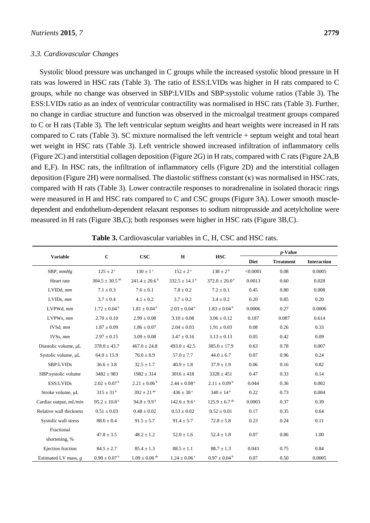### *3.3. Cardiovascular Changes*

Systolic blood pressure was unchanged in C groups while the increased systolic blood pressure in H rats was lowered in HSC rats (Table 3). The ratio of ESS:LVIDs was higher in H rats compared to C groups, while no change was observed in SBP:LVIDs and SBP:systolic volume ratios (Table 3). The ESS:LVIDs ratio as an index of ventricular contractility was normalised in HSC rats (Table 3). Further, no change in cardiac structure and function was observed in the microalgal treatment groups compared to C or H rats (Table 3). The left ventricular septum weights and heart weights were increased in H rats compared to C rats (Table 3). SC mixture normalised the left ventricle + septum weight and total heart wet weight in HSC rats (Table 3). Left ventricle showed increased infiltration of inflammatory cells (Figure 2C) and interstitial collagen deposition (Figure 2G) in H rats, compared with C rats (Figure 2A,B and E,F). In HSC rats, the infiltration of inflammatory cells (Figure 2D) and the interstitial collagen deposition (Figure 2H) were normalised. The diastolic stiffness constant  $(\kappa)$  was normalised in HSC rats, compared with H rats (Table 3). Lower contractile responses to noradrenaline in isolated thoracic rings were measured in H and HSC rats compared to C and CSC groups (Figure 3A). Lower smooth muscledependent and endothelium-dependent relaxant responses to sodium nitroprusside and acetylcholine were measured in H rats (Figure 3B,C); both responses were higher in HSC rats (Figure 3B,C).

| <b>Variable</b>             | $\mathbf C$                    | CSC                           | $\mathbf H$                   |                               | $p$ -Value  |                  |                    |
|-----------------------------|--------------------------------|-------------------------------|-------------------------------|-------------------------------|-------------|------------------|--------------------|
|                             |                                |                               |                               | <b>HSC</b>                    | <b>Diet</b> | <b>Treatment</b> | <b>Interaction</b> |
| SBP, mmHg                   | $125 \pm 2$ <sup>c</sup>       | $130 \pm 1$ <sup>c</sup>      | $152 \pm 2^{\rm a}$           | $138 \pm 2^{b}$               | < 0.0001    | 0.08             | 0.0005             |
| Heart rate                  | $304.5 \pm 30.5$ <sup>ab</sup> | $241.4 \pm 20.6^{\mathrm{b}}$ | $332.5 \pm 14.1$ <sup>a</sup> | $372.0 \pm 20.0$ <sup>a</sup> | 0.0013      | 0.60             | 0.028              |
| $LVIDd.$ $mm$               | $7.1 \pm 0.3$                  | $7.6 \pm 0.1$                 | $7.8 \pm 0.2$                 | $7.2 \pm 0.1$                 | 0.45        | 0.80             | 0.008              |
| $LVIDs$ , $mm$              | $3.7 \pm 0.4$                  | $4.1\pm0.2$                   | $3.7 \pm 0.2$                 | $3.4 \pm 0.2$                 | 0.20        | 0.85             | 0.20               |
| LVPWd, mm                   | $1.72 \pm 0.04^{\mathrm{b}}$   | $1.81 \pm 0.04^{\text{ b}}$   | $2.03 \pm 0.04$ <sup>a</sup>  | $1.83 \pm 0.04^{\mathrm{b}}$  | 0.0006      | 0.27             | 0.0006             |
| LVPWs, mm                   | $2.70 \pm 0.10$                | $2.99 \pm 0.08$               | $3.10 \pm 0.08$               | $3.06 \pm 0.12$               | 0.187       | 0.087            | 0.614              |
| IVSd, mm                    | $1.87 \pm 0.09$                | $1.86 \pm 0.07$               | $2.04\pm0.03$                 | $1.91 \pm 0.03$               | 0.08        | 0.26             | 0.33               |
| IVSs, mm                    | $2.97 \pm 0.15$                | $3.09 \pm 0.08$               | $3.47 \pm 0.16$               | $3.13 \pm 0.13$               | 0.05        | 0.42             | 0.09               |
| Diastolic volume, µL        | $378.0 \pm 43.7$               | $467.0 \pm 24.8$              | $493.0 \pm 42.5$              | $385.0 \pm 17.9$              | 0.63        | 0.78             | 0.007              |
| Systolic volume, µL         | $64.0 \pm 15.9$                | $76.0 \pm 8.9$                | $57.0 \pm 7.7$                | $44.0 \pm 6.7$                | 0.07        | 0.96             | 0.24               |
| SBP:LVIDs                   | $36.6 \pm 3.8$                 | $32.5 \pm 1.7$                | $40.9 \pm 1.8$                | $37.9 \pm 1.9$                | 0.06        | 0.16             | 0.82               |
| SBP:systolic volume         | $3482 \pm 983$                 | $1982 \pm 314$                | $3016 \pm 418$                | $3328 \pm 451$                | 0.47        | 0.33             | 0.14               |
| ESS:LVIDs                   | $2.02 \pm 0.07^{\mathrm{b}}$   | $2.21 \pm 0.06^{\mathrm{b}}$  | $2.44 \pm 0.08$ <sup>a</sup>  | $2.11 \pm 0.09^{\mathrm{b}}$  | 0.044       | 0.36             | 0.002              |
| Stroke volume, µL           | $315 \pm 31^{\rm b}$           | $392 \pm 21$ <sup>ab</sup>    | $436 \pm 38$ <sup>a</sup>     | $340 \pm 14^{b}$              | 0.22        | 0.73             | 0.004              |
| Cardiac output, mL/min      | $95.2 \pm 10.8^{\mathrm{b}}$   | $94.8 \pm 9.9^{\mathrm{b}}$   | $142.6 \pm 9.6^{\text{a}}$    | $125.9 \pm 6.7$ <sup>ab</sup> | 0.0003      | 0.37             | 0.39               |
| Relative wall thickness     | $0.51 \pm 0.03$                | $0.48 \pm 0.02$               | $0.53 \pm 0.02$               | $0.52 \pm 0.01$               | 0.17        | 0.35             | 0.64               |
| Systolic wall stress        | $88.6 \pm 8.4$                 | $91.5 \pm 5.7$                | $91.4 \pm 5.7$                | $72.8 \pm 5.8$                | 0.23        | 0.24             | 0.11               |
| Fractional<br>shortening, % | $47.8 \pm 3.5$                 | $48.2 \pm 1.2$                | $52.0 \pm 1.6$                | $52.4 \pm 1.8$                | 0.07        | 0.86             | 1.00               |
| Ejection fraction           | $84.5 \pm 2.7$                 | $85.4 \pm 1.3$                | $88.5 \pm 1.1$                | $88.7 \pm 1.3$                | 0.043       | 0.75             | 0.84               |
| Estimated LV mass, $g$      | $0.90 \pm 0.07^{\text{ b}}$    | $1.09 \pm 0.06$ <sup>ab</sup> | $1.24 \pm 0.06^{\text{ a}}$   | $0.97 \pm 0.04^{\mathrm{b}}$  | 0.07        | 0.50             | 0.0005             |

**Table 3.** Cardiovascular variables in C, H, CSC and HSC rats.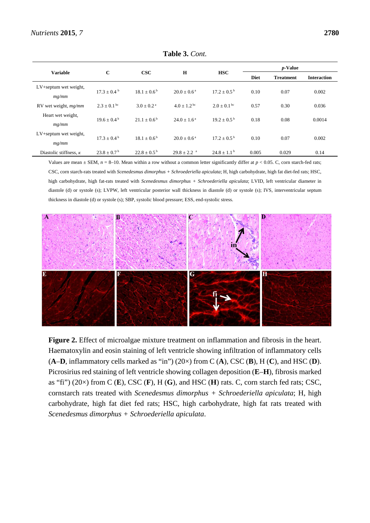### *Nutrients* **2015**, *7* **2780**

| <b>Variable</b>                | $\mathbf C$                 | $\csc$                      | H                           | <b>HSC</b>                  | <i>p</i> -Value |                  |                    |
|--------------------------------|-----------------------------|-----------------------------|-----------------------------|-----------------------------|-----------------|------------------|--------------------|
|                                |                             |                             |                             |                             | <b>Diet</b>     | <b>Treatment</b> | <b>Interaction</b> |
| LV+septum wet weight,<br>mg/mm | $17.3 + 0.4^{\mathrm{b}}$   | $18.1 + 0.6^{\mathrm{b}}$   | $20.0 + 0.6^{\text{a}}$     | $17.2 \pm 0.5^{\mathrm{b}}$ | 0.10            | 0.07             | 0.002              |
| RV wet weight, mg/mm           | $2.3 + 0.1$ bc              | $3.0 \pm 0.2$ <sup>a</sup>  | $4.0 + 1.2^{bc}$            | $2.0 \pm 0.1^{\rm bc}$      | 0.57            | 0.30             | 0.036              |
| Heart wet weight,<br>mg/mm     | $19.6 \pm 0.4^{\mathrm{b}}$ | $21.1 \pm 0.6^{\mathrm{b}}$ | $24.0 + 1.6^{\text{a}}$     | $19.2 + 0.5^{\mathrm{b}}$   | 0.18            | 0.08             | 0.0014             |
| LV+septum wet weight,<br>mg/mm | $17.3 + 0.4^{\mathrm{b}}$   | $18.1 + 0.6^{\mathrm{b}}$   | $20.0 + 0.6^{\text{a}}$     | $17.2 + 0.5^{\mathrm{b}}$   | 0.10            | 0.07             | 0.002              |
| Diastolic stiffness, $\kappa$  | $23.8 + 0.7^{\circ}$        | $22.8 + 0.5^{b}$            | $29.8 \pm 2.2$ <sup>a</sup> | $24.8 + 1.1^{\mathrm{b}}$   | 0.005           | 0.029            | 0.14               |

**Table 3.** *Cont.*

Values are mean  $\pm$  SEM,  $n = 8$ –10. Mean within a row without a common letter significantly differ at  $p < 0.05$ . C, corn starch-fed rats; CSC, corn starch-rats treated with *Scenedesmus dimorphus + Schroederiella apiculata*; H, high carbohydrate, high fat diet-fed rats; HSC, high carbohydrate, high fat-rats treated with *Scenedesmus dimorphus + Schroederiella apiculata*; LVID, left ventricular diameter in diastole (d) or systole (s); LVPW, left ventricular posterior wall thickness in diastole (d) or systole (s); IVS, interventricular septum thickness in diastole (d) or systole (s); SBP, systolic blood pressure; ESS, end-systolic stress*.*



**Figure 2.** Effect of microalgae mixture treatment on inflammation and fibrosis in the heart. Haematoxylin and eosin staining of left ventricle showing infiltration of inflammatory cells  $(A-D)$ , inflammatory cells marked as "in") (20 $\times$ ) from C  $(A)$ , CSC  $(B)$ , H  $(C)$ , and HSC  $(D)$ . Picrosirius red staining of left ventricle showing collagen deposition (**E**–**H**), fibrosis marked as "fi") (20×) from C (**E**), CSC (**F**), H (**G**), and HSC (**H**) rats. C, corn starch fed rats; CSC, cornstarch rats treated with *Scenedesmus dimorphus + Schroederiella apiculata*; H, high carbohydrate, high fat diet fed rats; HSC, high carbohydrate, high fat rats treated with *Scenedesmus dimorphus + Schroederiella apiculata*.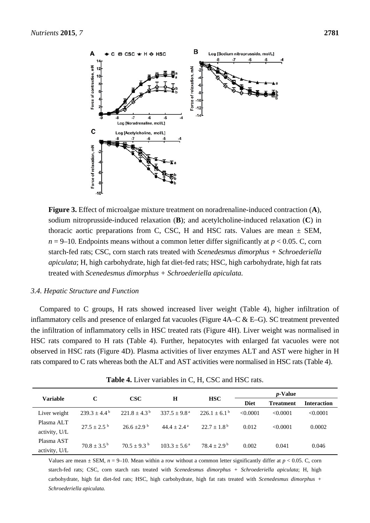

**Figure 3.** Effect of microalgae mixture treatment on noradrenaline-induced contraction (**A**), sodium nitroprusside-induced relaxation (**B**); and acetylcholine-induced relaxation (**C**) in thoracic aortic preparations from C, CSC, H and HSC rats. Values are mean  $\pm$  SEM,  $n = 9-10$ . Endpoints means without a common letter differ significantly at  $p < 0.05$ . C, corn starch-fed rats; CSC, corn starch rats treated with *Scenedesmus dimorphus + Schroederiella apiculata*; H, high carbohydrate, high fat diet-fed rats; HSC, high carbohydrate, high fat rats treated with *Scenedesmus dimorphus + Schroederiella apiculata.*

### *3.4. Hepatic Structure and Function*

Compared to C groups, H rats showed increased liver weight (Table 4), higher infiltration of inflammatory cells and presence of enlarged fat vacuoles (Figure 4A–C & E–G). SC treatment prevented the infiltration of inflammatory cells in HSC treated rats (Figure 4H). Liver weight was normalised in HSC rats compared to H rats (Table 4). Further, hepatocytes with enlarged fat vacuoles were not observed in HSC rats (Figure 4D). Plasma activities of liver enzymes ALT and AST were higher in H rats compared to C rats whereas both the ALT and AST activities were normalised in HSC rats (Table 4).

| <b>Variable</b> |                             | <b>CSC</b>              | H                          | <b>HSC</b>                  | <i>p</i> -Value |                  |                    |
|-----------------|-----------------------------|-------------------------|----------------------------|-----------------------------|-----------------|------------------|--------------------|
|                 | C                           |                         |                            |                             | <b>Diet</b>     | <b>Treatment</b> | <b>Interaction</b> |
| Liver weight    | $239.3 \pm 4.4^{\circ}$     | $221.8 \pm 4.3^{\circ}$ | $337.5 \pm 9.8^{\text{a}}$ | $226.1 \pm 6.1^{\circ}$     | < 0.0001        | < 0.0001         | < 0.0001           |
| Plasma ALT      | $27.5 + 2.5^{b}$            | $26.6 + 2.9$            | $44.4 + 2.4^{\mathrm{a}}$  | $22.7 + 1.8^{b}$            | 0.012           | < 0.0001         | 0.0002             |
| activity, U/L   |                             |                         |                            |                             |                 |                  |                    |
| Plasma AST      | $70.8 \pm 3.5^{\mathrm{b}}$ | $70.5 + 9.3^{\circ}$    | $103.3 + 5.6^{\text{a}}$   | $78.4 \pm 2.9^{\mathrm{b}}$ | 0.002           | 0.041            | 0.046              |
| activity, U/L   |                             |                         |                            |                             |                 |                  |                    |

**Table 4.** Liver variables in C, H, CSC and HSC rats.

Values are mean  $\pm$  SEM,  $n = 9$ –10. Mean within a row without a common letter significantly differ at  $p < 0.05$ . C, corn starch-fed rats; CSC, corn starch rats treated with *Scenedesmus dimorphus + Schroederiella apiculata*; H, high carbohydrate, high fat diet-fed rats; HSC, high carbohydrate, high fat rats treated with *Scenedesmus dimorphus + Schroederiella apiculata.*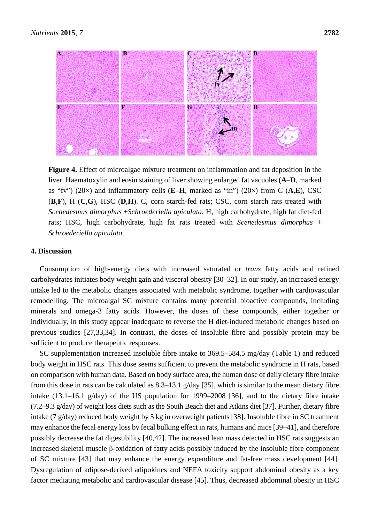

**Figure 4.** Effect of microalgae mixture treatment on inflammation and fat deposition in the liver. Haematoxylin and eosin staining of liver showing enlarged fat vacuoles (**A**–**D**, marked as "fv") (20×) and inflammatory cells (**E**–**H**, marked as "in") (20×) from C (**A**,**E**), CSC (**B**,**F**), H (**C**,**G**), HSC (**D**,**H**). C, corn starch-fed rats; CSC, corn starch rats treated with *Scenedesmus dimorphus* +*Schroederiella apiculata*; H, high carbohydrate, high fat diet-fed rats; HSC, high carbohydrate, high fat rats treated with *Scenedesmus dimorphus* + *Schroederiella apiculata*.

### **4. Discussion**

Consumption of high-energy diets with increased saturated or *trans* fatty acids and refined carbohydrates initiates body weight gain and visceral obesity [30–32]. In our study, an increased energy intake led to the metabolic changes associated with metabolic syndrome, together with cardiovascular remodelling. The microalgal SC mixture contains many potential bioactive compounds, including minerals and omega-3 fatty acids. However, the doses of these compounds, either together or individually, in this study appear inadequate to reverse the H diet-induced metabolic changes based on previous studies [27,33,34]. In contrast, the doses of insoluble fibre and possibly protein may be sufficient to produce therapeutic responses.

SC supplementation increased insoluble fibre intake to 369.5–584.5 mg/day (Table 1) and reduced body weight in HSC rats. This dose seems sufficient to prevent the metabolic syndrome in H rats, based on comparison with human data. Based on body surface area, the human dose of daily dietary fibre intake from this dose in rats can be calculated as 8.3–13.1 g/day [35], which is similar to the mean dietary fibre intake (13.1–16.1 g/day) of the US population for 1999–2008 [36], and to the dietary fibre intake (7.2–9.3 g/day) of weight loss diets such as the South Beach diet and Atkins diet [37]. Further, dietary fibre intake (7 g/day) reduced body weight by 5 kg in overweight patients [38]. Insoluble fibre in SC treatment may enhance the fecal energy loss by fecal bulking effect in rats, humans and mice [39–41], and therefore possibly decrease the fat digestibility [40,42]. The increased lean mass detected in HSC rats suggests an increased skeletal muscle β-oxidation of fatty acids possibly induced by the insoluble fibre component of SC mixture [43] that may enhance the energy expenditure and fat-free mass development [44]. Dysregulation of adipose-derived adipokines and NEFA toxicity support abdominal obesity as a key factor mediating metabolic and cardiovascular disease [45]. Thus, decreased abdominal obesity in HSC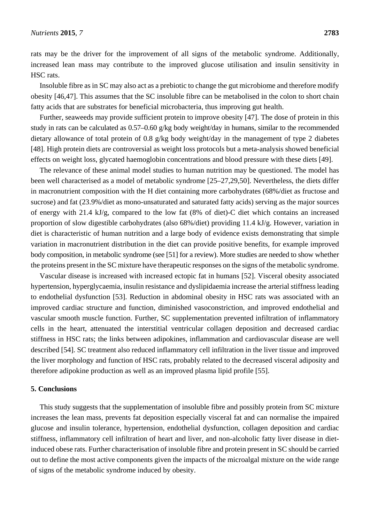rats may be the driver for the improvement of all signs of the metabolic syndrome. Additionally, increased lean mass may contribute to the improved glucose utilisation and insulin sensitivity in HSC rats.

Insoluble fibre as in SC may also act as a prebiotic to change the gut microbiome and therefore modify obesity [46,47]. This assumes that the SC insoluble fibre can be metabolised in the colon to short chain fatty acids that are substrates for beneficial microbacteria, thus improving gut health.

Further, seaweeds may provide sufficient protein to improve obesity [47]. The dose of protein in this study in rats can be calculated as 0.57–0.60 g/kg body weight/day in humans, similar to the recommended dietary allowance of total protein of 0.8 g/kg body weight/day in the management of type 2 diabetes [48]. High protein diets are controversial as weight loss protocols but a meta-analysis showed beneficial effects on weight loss, glycated haemoglobin concentrations and blood pressure with these diets [49].

The relevance of these animal model studies to human nutrition may be questioned. The model has been well characterised as a model of metabolic syndrome [25–27,29,50]. Nevertheless, the diets differ in macronutrient composition with the H diet containing more carbohydrates (68%/diet as fructose and sucrose) and fat (23.9%/diet as mono-unsaturated and saturated fatty acids) serving as the major sources of energy with 21.4 kJ/g, compared to the low fat (8% of diet)-C diet which contains an increased proportion of slow digestible carbohydrates (also 68%/diet) providing 11.4 kJ/g. However, variation in diet is characteristic of human nutrition and a large body of evidence exists demonstrating that simple variation in macronutrient distribution in the diet can provide positive benefits, for example improved body composition, in metabolic syndrome (see [51] for a review). More studies are needed to show whether the proteins present in the SC mixture have therapeutic responses on the signs of the metabolic syndrome.

Vascular disease is increased with increased ectopic fat in humans [52]. Visceral obesity associated hypertension, hyperglycaemia, insulin resistance and dyslipidaemia increase the arterial stiffness leading to endothelial dysfunction [53]. Reduction in abdominal obesity in HSC rats was associated with an improved cardiac structure and function, diminished vasoconstriction, and improved endothelial and vascular smooth muscle function. Further, SC supplementation prevented infiltration of inflammatory cells in the heart, attenuated the interstitial ventricular collagen deposition and decreased cardiac stiffness in HSC rats; the links between adipokines, inflammation and cardiovascular disease are well described [54]. SC treatment also reduced inflammatory cell infiltration in the liver tissue and improved the liver morphology and function of HSC rats, probably related to the decreased visceral adiposity and therefore adipokine production as well as an improved plasma lipid profile [55].

#### **5. Conclusions**

This study suggests that the supplementation of insoluble fibre and possibly protein from SC mixture increases the lean mass, prevents fat deposition especially visceral fat and can normalise the impaired glucose and insulin tolerance, hypertension, endothelial dysfunction, collagen deposition and cardiac stiffness, inflammatory cell infiltration of heart and liver, and non-alcoholic fatty liver disease in dietinduced obese rats. Further characterisation of insoluble fibre and protein present in SC should be carried out to define the most active components given the impacts of the microalgal mixture on the wide range of signs of the metabolic syndrome induced by obesity.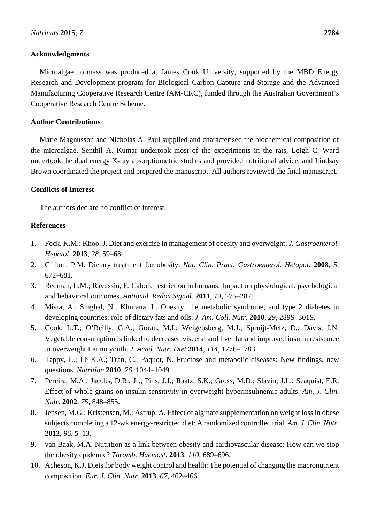# **Acknowledgments**

Microalgae biomass was produced at James Cook University, supported by the MBD Energy Research and Development program for Biological Carbon Capture and Storage and the Advanced Manufacturing Cooperative Research Centre (AM-CRC), funded through the Australian Government's Cooperative Research Centre Scheme.

# **Author Contributions**

Marie Magnusson and Nicholas A. Paul supplied and characterised the biochemical composition of the microalgae, Senthil A. Kumar undertook most of the experiments in the rats, Leigh C. Ward undertook the dual energy X-ray absorptiometric studies and provided nutritional advice, and Lindsay Brown coordinated the project and prepared the manuscript. All authors reviewed the final manuscript.

# **Conflicts of Interest**

The authors declare no conflict of interest.

# **References**

- 1. Fock, K.M.; Khoo, J. Diet and exercise in management of obesity and overweight. *J. Gastroenterol. Hepatol*. **2013**, *28*, 59–63.
- 2. Clifton, P.M. Dietary treatment for obesity. *Nat. Clin. Pract. Gastroenterol. Hetapol.* **2008**, *5*, 672–681.
- 3. Redman, L.M.; Ravussin, E. Caloric restriction in humans: Impact on physiological, psychological and behavioral outcomes. *Antioxid. Redox Signal.* **2011**, *14*, 275–287.
- 4. Misra, A.; Singhal, N.; Khurana, L. Obesity, the metabolic syndrome, and type 2 diabetes in developing countries: role of dietary fats and oils. *J. Am. Coll. Nutr*. **2010**, *29*, 289S–301S.
- 5. Cook, L.T.; O'Reilly, G.A.; Goran, M.I.; Weigensberg, M.J.; Spruijt-Metz, D.; Davis, J.N. Vegetable consumption is linked to decreased visceral and liver fat and improved insulin resistance in overweight Latino youth. *J. Acad. Nutr. Diet* **2014**, *114*, 1776–1783.
- 6. Tappy, L.; Lê K.A.; Tran, C.; Paquot, N. Fructose and metabolic diseases: New findings, new questions. *Nutrition* **2010**, *26*, 1044–1049.
- 7. Pereira, M.A.; Jacobs, D.R., Jr.; Pins, J.J.; Raatz, S.K.; Gross, M.D.; Slavin, J.L.; Seaquist, E.R. Effect of whole grains on insulin sensitivity in overweight hyperinsulinemic adults. *Am. J. Clin. Nutr*. **2002**, *75*, 848–855.
- 8. Jensen, M.G.; Kristensen, M.; Astrup, A. Effect of alginate supplementation on weight loss in obese subjects completing a 12-wk energy-restricted diet: A randomized controlled trial. *Am. J. Clin. Nutr*. **2012**, *96*, 5–13.
- 9. van Baak, M.A. Nutrition as a link between obesity and cardiovascular disease: How can we stop the obesity epidemic? *Thromb. Haemost*. **2013**, *110*, 689–696.
- 10. Acheson, K.J. Diets for body weight control and health: The potential of changing the macronutrient composition. *Eur. J. Clin. Nutr*. **2013**, *67*, 462–466.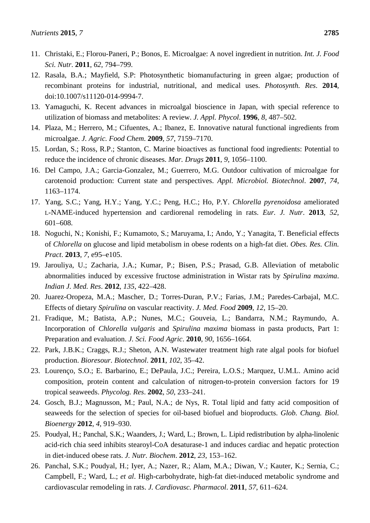- 11. Christaki, E.; Florou-Paneri, P.; Bonos, E. Microalgae: A novel ingredient in nutrition. *Int. J. Food Sci. Nutr*. **2011**, *62*, 794–799.
- 12. Rasala, B.A.; Mayfield, S.P: Photosynthetic biomanufacturing in green algae; production of recombinant proteins for industrial, nutritional, and medical uses. *Photosynth. Res*. **2014**, doi:10.1007/s11120-014-9994-7.
- 13. Yamaguchi, K. Recent advances in microalgal bioscience in Japan, with special reference to utilization of biomass and metabolites: A review. *J. Appl. Phycol*. **1996**, *8*, 487–502.
- 14. Plaza, M.; Herrero, M.; Cifuentes, A.; Ibanez, E. Innovative natural functional ingredients from microalgae. *J. Agric. Food Chem*. **2009**, *57*, 7159–7170.
- 15. Lordan, S.; Ross, R.P.; Stanton, C. Marine bioactives as functional food ingredients: Potential to reduce the incidence of chronic diseases. *Mar. Drugs* **2011**, *9*, 1056–1100.
- 16. Del Campo, J.A.; Garcia-Gonzalez, M.; Guerrero, M.G. Outdoor cultivation of microalgae for carotenoid production: Current state and perspectives. *Appl. Microbiol. Biotechnol*. **2007**, *74*, 1163–1174.
- 17. Yang, S.C.; Yang, H.Y.; Yang, Y.C.; Peng, H.C.; Ho, P.Y. *Chlorella pyrenoidosa* ameliorated L-NAME-induced hypertension and cardiorenal remodeling in rats. *Eur. J. Nutr*. **2013**, *52*, 601–608.
- 18. Noguchi, N.; Konishi, F.; Kumamoto, S.; Maruyama, I.; Ando, Y.; Yanagita, T. Beneficial effects of *Chlorella* on glucose and lipid metabolism in obese rodents on a high-fat diet. *Obes. Res. Clin. Pract*. **2013**, *7*, e95–e105.
- 19. Jarouliya, U.; Zacharia, J.A.; Kumar, P.; Bisen, P.S.; Prasad, G.B. Alleviation of metabolic abnormalities induced by excessive fructose administration in Wistar rats by *Spirulina maxima*. *Indian J. Med. Res*. **2012**, *135*, 422–428.
- 20. Juarez-Oropeza, M.A.; Mascher, D.; Torres-Duran, P.V.; Farias, J.M.; Paredes-Carbajal, M.C. Effects of dietary *Spirulina* on vascular reactivity. *J. Med. Food* **2009**, *12*, 15–20.
- 21. Fradique, M.; Batista, A.P.; Nunes, M.C.; Gouveia, L.; Bandarra, N.M.; Raymundo, A. Incorporation of *Chlorella vulgaris* and *Spirulina maxima* biomass in pasta products, Part 1: Preparation and evaluation. *J. Sci. Food Agric*. **2010**, *90*, 1656–1664.
- 22. Park, J.B.K.; Craggs, R.J.; Sheton, A.N. Wastewater treatment high rate algal pools for biofuel production. *Bioresour. Biotechnol*. **2011**, *102*, 35–42.
- 23. Lourenço, S.O.; E. Barbarino, E.; DePaula, J.C.; Pereira, L.O.S.; Marquez, U.M.L. Amino acid composition, protein content and calculation of nitrogen-to-protein conversion factors for 19 tropical seaweeds. *Phycolog. Res*. **2002**, *50*, 233–241.
- 24. Gosch, B.J.; Magnusson, M.; Paul, N.A.; de Nys, R. Total lipid and fatty acid composition of seaweeds for the selection of species for oil-based biofuel and bioproducts. *Glob. Chang. Biol. Bioenergy* **2012**, *4*, 919–930.
- 25. Poudyal, H.; Panchal, S.K.; Waanders, J.; Ward, L.; Brown, L. Lipid redistribution by alpha-linolenic acid-rich chia seed inhibits stearoyl-CoA desaturase-1 and induces cardiac and hepatic protection in diet-induced obese rats. *J. Nutr. Biochem*. **2012**, *23*, 153–162.
- 26. Panchal, S.K.; Poudyal, H.; Iyer, A.; Nazer, R.; Alam, M.A.; Diwan, V.; Kauter, K.; Sernia, C.; Campbell, F.; Ward, L.; *et al*. High-carbohydrate, high-fat diet-induced metabolic syndrome and cardiovascular remodeling in rats. *J. Cardiovasc. Pharmacol*. **2011**, *57*, 611–624.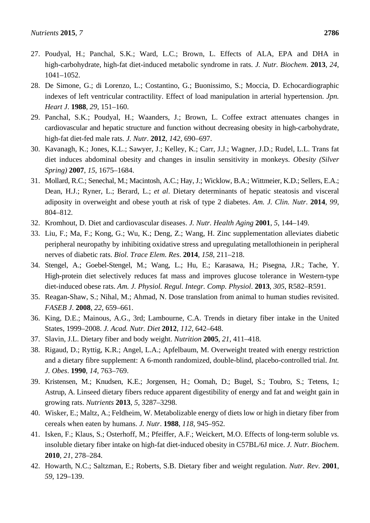- 27. Poudyal, H.; Panchal, S.K.; Ward, L.C.; Brown, L. Effects of ALA, EPA and DHA in high-carbohydrate, high-fat diet-induced metabolic syndrome in rats. *J. Nutr. Biochem*. **2013**, *24*, 1041–1052.
- 28. De Simone, G.; di Lorenzo, L.; Costantino, G.; Buonissimo, S.; Moccia, D. Echocardiographic indexes of left ventricular contractility. Effect of load manipulation in arterial hypertension. *Jpn. Heart J*. **1988**, *29*, 151–160.
- 29. Panchal, S.K.; Poudyal, H.; Waanders, J.; Brown, L. Coffee extract attenuates changes in cardiovascular and hepatic structure and function without decreasing obesity in high-carbohydrate, high-fat diet-fed male rats. *J. Nutr*. **2012**, *142*, 690–697.
- 30. Kavanagh, K.; Jones, K.L.; Sawyer, J.; Kelley, K.; Carr, J.J.; Wagner, J.D.; Rudel, L.L. Trans fat diet induces abdominal obesity and changes in insulin sensitivity in monkeys. *Obesity (Silver Spring)* **2007**, *15*, 1675–1684.
- 31. Mollard, R.C.; Senechal, M.; Macintosh, A.C.; Hay, J.; Wicklow, B.A.; Wittmeier, K.D.; Sellers, E.A.; Dean, H.J.; Ryner, L.; Berard, L.; *et al*. Dietary determinants of hepatic steatosis and visceral adiposity in overweight and obese youth at risk of type 2 diabetes. *Am. J. Clin. Nutr*. **2014**, *99*, 804–812.
- 32. Kromhout, D. Diet and cardiovascular diseases. *J. Nutr. Health Aging* **2001**, *5*, 144–149.
- 33. Liu, F.; Ma, F.; Kong, G.; Wu, K.; Deng, Z.; Wang, H. Zinc supplementation alleviates diabetic peripheral neuropathy by inhibiting oxidative stress and upregulating metallothionein in peripheral nerves of diabetic rats. *Biol. Trace Elem. Res*. **2014**, *158*, 211–218.
- 34. Stengel, A.; Goebel-Stengel, M.; Wang, L.; Hu, E.; Karasawa, H.; Pisegna, J.R.; Tache, Y. High-protein diet selectively reduces fat mass and improves glucose tolerance in Western-type diet-induced obese rats. *Am. J. Physiol. Regul. Integr. Comp. Physiol*. **2013**, *305*, R582–R591.
- 35. Reagan-Shaw, S.; Nihal, M.; Ahmad, N. Dose translation from animal to human studies revisited. *FASEB J*. **2008**, *22*, 659–661.
- 36. King, D.E.; Mainous, A.G., 3rd; Lambourne, C.A. Trends in dietary fiber intake in the United States, 1999–2008. *J. Acad. Nutr. Diet* **2012**, *112*, 642–648.
- 37. Slavin, J.L. Dietary fiber and body weight. *Nutrition* **2005**, *21*, 411–418.
- 38. Rigaud, D.; Ryttig, K.R.; Angel, L.A.; Apfelbaum, M. Overweight treated with energy restriction and a dietary fibre supplement: A 6-month randomized, double-blind, placebo-controlled trial. *Int. J. Obes*. **1990**, *14*, 763–769.
- 39. Kristensen, M.; Knudsen, K.E.; Jorgensen, H.; Oomah, D.; Bugel, S.; Toubro, S.; Tetens, I.; Astrup, A. Linseed dietary fibers reduce apparent digestibility of energy and fat and weight gain in growing rats. *Nutrients* **2013**, *5*, 3287–3298.
- 40. Wisker, E.; Maltz, A.; Feldheim, W. Metabolizable energy of diets low or high in dietary fiber from cereals when eaten by humans. *J. Nutr*. **1988**, *118*, 945–952.
- 41. Isken, F.; Klaus, S.; Osterhoff, M.; Pfeiffer, A.F.; Weickert, M.O. Effects of long-term soluble *vs.* insoluble dietary fiber intake on high-fat diet-induced obesity in C57BL/6J mice. *J. Nutr. Biochem*. **2010**, *21*, 278–284.
- 42. Howarth, N.C.; Saltzman, E.; Roberts, S.B. Dietary fiber and weight regulation. *Nutr. Rev*. **2001**, *59*, 129–139.